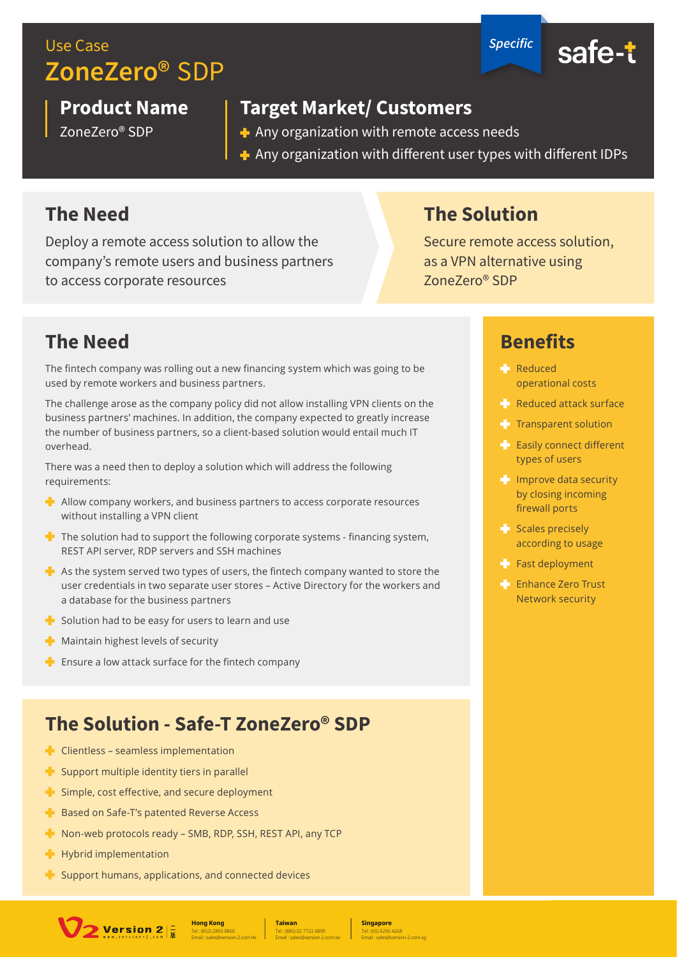## Use Case *Specific* **ZoneZero®** SDP



#### **Product Name**

ZoneZero® SDP

#### **Target Market/ Customers**

- $\triangle$  Any organization with remote access needs
- $\, \cdot \,$  Any organization with different user types with different IDPs

#### **The Need**

Deploy a remote access solution to allow the company's remote users and business partners to access corporate resources

### **The Solution**

Secure remote access solution, as a VPN alternative using ZoneZero® SDP

### **The Need**

The fintech company was rolling out a new financing system which was going to be used by remote workers and business partners.

The challenge arose as the company policy did not allow installing VPN clients on the business partners' machines. In addition, the company expected to greatly increase the number of business partners, so a client-based solution would entail much IT overhead.

There was a need then to deploy a solution which will address the following requirements:

- $\mathbf{F}$  Allow company workers, and business partners to access corporate resources without installing a VPN client
- $\blacktriangleright$  The solution had to support the following corporate systems financing system, REST API server, RDP servers and SSH machines
- $\blacktriangleright$  As the system served two types of users, the fintech company wanted to store the user credentials in two separate user stores - Active Directory for the workers and a database for the business partners
- $\blacktriangleright$  Solution had to be easy for users to learn and use
- $\blacksquare$  Maintain highest levels of security
- $\blacksquare$  Ensure a low attack surface for the fintech company

### **The Solution - Safe-T ZoneZero® SDP**

- $\blacktriangle$  Clientless seamless implementation
- $\blacksquare$  Support multiple identity tiers in parallel
- $\blacktriangle$  Simple, cost effective, and secure deployment
- $\blacksquare$  Based on Safe-T's patented Reverse Access
- Non-web protocols ready SMB, RDP, SSH, REST API, any TCP
- $+$  Hybrid implementation
- $\blacktriangle$  Support humans, applications, and connected devices



Tel : (886) 02 7722 6899 **Taiwan** Email : sales@version-2.com.tw

Tel : (65) 6296 4268 **Singapore** Email : sales@version-2.com.sg

#### **Benefits**

- **Reduced** operational costs
- $R$  Reduced attack surface
- $\blacksquare$  Transparent solution
- $\blacktriangleright$  Easily connect different types of users
- **Improve data security** by closing incoming firewall ports
- $S$ cales precisely according to usage
- Fast deployment
- **Enhance Zero Trust** Network security